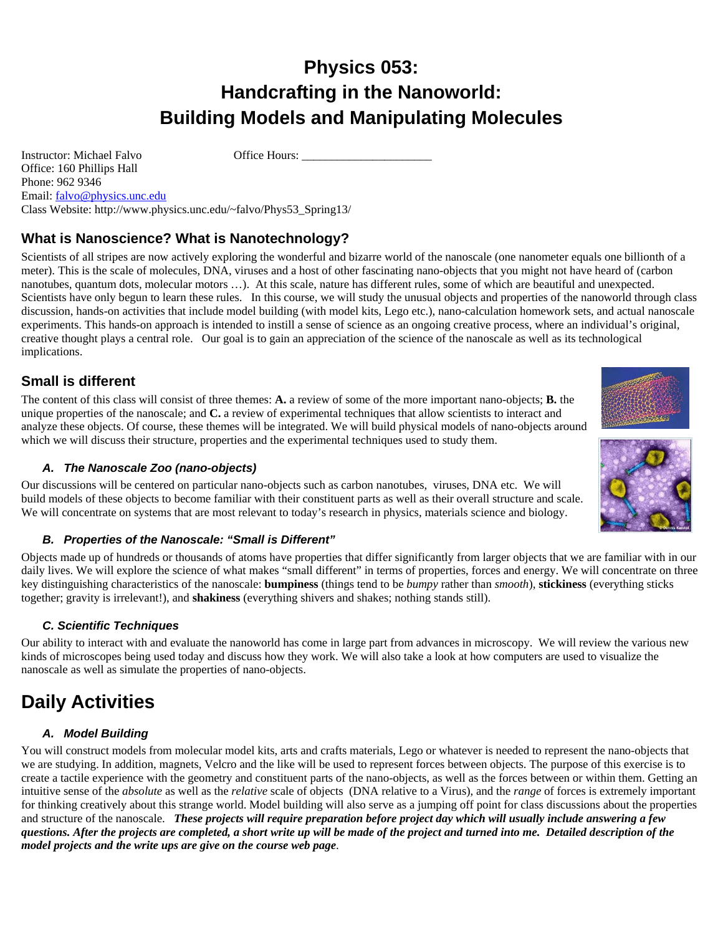# **Physics 053: Handcrafting in the Nanoworld: Building Models and Manipulating Molecules**

Instructor: Michael Falvo Office Hours: \_\_\_\_\_\_\_\_\_\_\_\_\_\_\_\_\_\_\_\_\_\_

Phone: 962 9346 Email: falvo@physics.unc.edu Class Website: http://www.physics.unc.edu/~falvo/Phys53\_Spring13/

## **What is Nanoscience? What is Nanotechnology?**

Scientists of all stripes are now actively exploring the wonderful and bizarre world of the nanoscale (one nanometer equals one billionth of a meter). This is the scale of molecules, DNA, viruses and a host of other fascinating nano-objects that you might not have heard of (carbon nanotubes, quantum dots, molecular motors …). At this scale, nature has different rules, some of which are beautiful and unexpected. Scientists have only begun to learn these rules. In this course, we will study the unusual objects and properties of the nanoworld through class discussion, hands-on activities that include model building (with model kits, Lego etc.), nano-calculation homework sets, and actual nanoscale experiments. This hands-on approach is intended to instill a sense of science as an ongoing creative process, where an individual's original, creative thought plays a central role. Our goal is to gain an appreciation of the science of the nanoscale as well as its technological implications.

### **Small is different**

Office: 160 Phillips Hall

The content of this class will consist of three themes: **A.** a review of some of the more important nano-objects; **B.** the unique properties of the nanoscale; and **C.** a review of experimental techniques that allow scientists to interact and analyze these objects. Of course, these themes will be integrated. We will build physical models of nano-objects around which we will discuss their structure, properties and the experimental techniques used to study them.

### *A. The Nanoscale Zoo (nano-objects)*

Our discussions will be centered on particular nano-objects such as carbon nanotubes, viruses, DNA etc. We will build models of these objects to become familiar with their constituent parts as well as their overall structure and scale. We will concentrate on systems that are most relevant to today's research in physics, materials science and biology.

### *B. Properties of the Nanoscale: "Small is Different"*

Objects made up of hundreds or thousands of atoms have properties that differ significantly from larger objects that we are familiar with in our daily lives. We will explore the science of what makes "small different" in terms of properties, forces and energy. We will concentrate on three key distinguishing characteristics of the nanoscale: **bumpiness** (things tend to be *bumpy* rather than *smooth*), **stickiness** (everything sticks together; gravity is irrelevant!), and **shakiness** (everything shivers and shakes; nothing stands still).

### *C. Scientific Techniques*

Our ability to interact with and evaluate the nanoworld has come in large part from advances in microscopy. We will review the various new kinds of microscopes being used today and discuss how they work. We will also take a look at how computers are used to visualize the nanoscale as well as simulate the properties of nano-objects.

# **Daily Activities**

### *A. Model Building*

You will construct models from molecular model kits, arts and crafts materials, Lego or whatever is needed to represent the nano-objects that we are studying. In addition, magnets, Velcro and the like will be used to represent forces between objects. The purpose of this exercise is to create a tactile experience with the geometry and constituent parts of the nano-objects, as well as the forces between or within them. Getting an intuitive sense of the *absolute* as well as the *relative* scale of objects (DNA relative to a Virus), and the *range* of forces is extremely important for thinking creatively about this strange world. Model building will also serve as a jumping off point for class discussions about the properties and structure of the nanoscale. *These projects will require preparation before project day which will usually include answering a few questions. After the projects are completed, a short write up will be made of the project and turned into me. Detailed description of the model projects and the write ups are give on the course web page*.